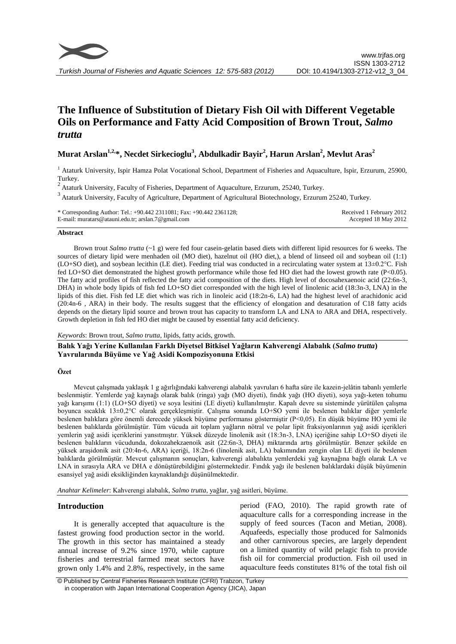

# **The Influence of Substitution of Dietary Fish Oil with Different Vegetable Oils on Performance and Fatty Acid Composition of Brown Trout,** *Salmo trutta*

# **Murat Arslan1,2,\*, Necdet Sirkecioglu<sup>3</sup> , Abdulkadir Bayir<sup>2</sup> , Harun Arslan<sup>2</sup> , Mevlut Aras<sup>2</sup>**

<sup>1</sup> Ataturk University, Ispir Hamza Polat Vocational School, Department of Fisheries and Aquaculture, Ispir, Erzurum, 25900, Turkey.

 $2$  Ataturk University, Faculty of Fisheries, Department of Aquaculture, Erzurum, 25240, Turkey.

<sup>3</sup> Ataturk University, Faculty of Agriculture, Department of Agricultural Biotechnology, Erzurum 25240, Turkey.

| * Corresponding Author: Tel.: +90.442 2311081; Fax: +90.442 2361128; | Received 1 February 2012 |
|----------------------------------------------------------------------|--------------------------|
| E-mail: muratars@atauni.edu.tr; arslan.7@gmail.com                   | Accepted 18 May 2012     |

#### **Abstract**

Brown trout *Salmo trutta* (~1 g) were fed four casein-gelatin based diets with different lipid resources for 6 weeks. The sources of dietary lipid were menhaden oil (MO diet), hazelnut oil (HO diet,), a blend of linseed oil and soybean oil (1:1) (LO+SO diet), and soybean lecithin (LE diet). Feeding trial was conducted in a recirculating water system at 13±0.2°C. Fish fed LO+SO diet demonstrated the highest growth performance while those fed HO diet had the lowest growth rate (P<0.05). The fatty acid profiles of fish reflected the fatty acid composition of the diets. High level of docosahexaenoic acid (22:6n-3, DHA) in whole body lipids of fish fed LO+SO diet corresponded with the high level of linolenic acid (18:3n-3, LNA) in the lipids of this diet. Fish fed LE diet which was rich in linoleic acid (18:2n-6, LA) had the highest level of arachidonic acid (20:4n-6 , ARA) in their body. The results suggest that the efficiency of elongation and desaturation of C18 fatty acids depends on the dietary lipid source and brown trout has capacity to transform LA and LNA to ARA and DHA, respectively. Growth depletion in fish fed HO diet might be caused by essential fatty acid deficiency.

### *Keywords*: Brown trout, *Salmo trutta*, lipids, fatty acids, growth.

**Balık Yağı Yerine Kullanılan Farklı Diyetsel Bitkisel Yağların Kahverengi Alabalık (***Salmo trutta***) Yavrularında Büyüme ve Yağ Asidi Kompozisyonuna Etkisi**

# **Özet**

Mevcut çalışmada yaklaşık 1 g ağırlığındaki kahverengi alabalık yavruları 6 hafta süre ile kazein-jelâtin tabanlı yemlerle beslenmiştir. Yemlerde yağ kaynağı olarak balık (ringa) yağı (MO diyeti), fındık yağı (HO diyeti), soya yağı-keten tohumu yağı karışımı (1:1) (LO+SO diyeti) ve soya lesitini (LE diyeti) kullanılmıştır. Kapalı devre su sisteminde yürütülen çalışma boyunca sıcaklık 13±0,2°C olarak gerçekleşmiştir. Çalışma sonunda LO+SO yemi ile beslenen balıklar diğer yemlerle beslenen balıklara göre önemli derecede yüksek büyüme performansı göstermiştir (P<0,05). En düşük büyüme HO yemi ile beslenen balıklarda görülmüştür. Tüm vücuda ait toplam yağların nötral ve polar lipit fraksiyonlarının yağ asidi içerikleri yemlerin yağ asidi içeriklerini yansıtmıştır. Yüksek düzeyde linolenik asit (18:3n-3, LNA) içeriğine sahip LO+SO diyeti ile beslenen balıkların vücudunda, dokozahekzaenoik asit (22:6n-3, DHA) miktarında artış görülmüştür. Benzer şekilde en yüksek araşidonik asit (20:4n-6, ARA) içeriği, 18:2n-6 (linolenik asit, LA) bakımından zengin olan LE diyeti ile beslenen balıklarda görülmüştür. Mevcut çalışmanın sonuçları, kahverengi alabalıkta yemlerdeki yağ kaynağına bağlı olarak LA ve LNA in sırasıyla ARA ve DHA e dönüştürebildiğini göstermektedir. Fındık yağı ile beslenen balıklardaki düşük büyümenin esansiyel yağ asidi eksikliğinden kaynaklandığı düşünülmektedir.

*Anahtar Kelimeler*: Kahverengi alabalık, *Salmo trutta*, yağlar, yağ asitleri, büyüme.

# **Introduction**

It is generally accepted that aquaculture is the fastest growing food production sector in the world. The growth in this sector has maintained a steady annual increase of 9.2% since 1970, while capture fisheries and terrestrial farmed meat sectors have grown only 1.4% and 2.8%, respectively, in the same period (FAO, 2010). The rapid growth rate of aquaculture calls for a corresponding increase in the supply of feed sources (Tacon and Metian, 2008). Aquafeeds, especially those produced for Salmonids and other carnivorous species, are largely dependent on a limited quantity of wild pelagic fish to provide fish oil for commercial production. Fish oil used in aquaculture feeds constitutes 81% of the total fish oil

<sup>©</sup> Published by Central Fisheries Research Institute (CFRI) Trabzon, Turkey in cooperation with Japan International Cooperation Agency (JICA), Japan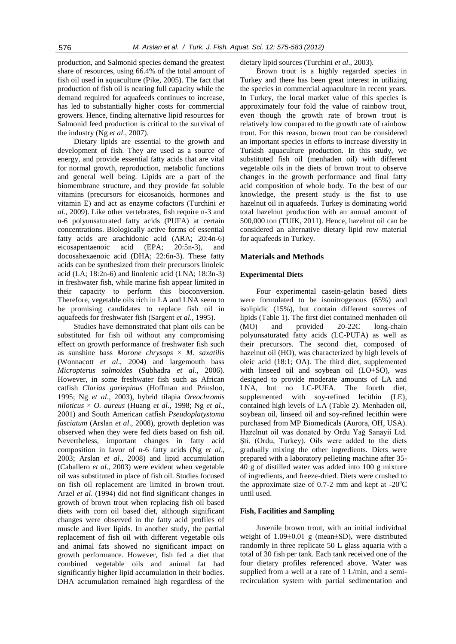production, and Salmonid species demand the greatest share of resources, using 66.4% of the total amount of fish oil used in aquaculture (Pike, 2005). The fact that production of fish oil is nearing full capacity while the demand required for aquafeeds continues to increase, has led to substantially higher costs for commercial growers. Hence, finding alternative lipid resources for Salmonid feed production is critical to the survival of the industry (Ng *et al*., 2007).

Dietary lipids are essential to the growth and development of fish. They are used as a source of energy, and provide essential fatty acids that are vital for normal growth, reproduction, metabolic functions and general well being. Lipids are a part of the biomembrane structure, and they provide fat soluble vitamins (precursors for eicosanoids, hormones and vitamin E) and act as enzyme cofactors (Turchini *et al*., 2009). Like other vertebrates, fish require n-3 and n-6 polyunsaturated fatty acids (PUFA) at certain concentrations. Biologically active forms of essential fatty acids are arachidonic acid (ARA; 20:4n-6) eicosapentaenoic acid (EPA; 20:5n-3), and docosahexaenoic acid (DHA; 22:6n-3). These fatty acids can be synthesized from their precursors linoleic acid (LA; 18:2n-6) and linolenic acid (LNA; 18:3n-3) in freshwater fish, while marine fish appear limited in their capacity to perform this bioconversion. Therefore, vegetable oils rich in LA and LNA seem to be promising candidates to replace fish oil in aquafeeds for freshwater fish (Sargent *et al*., 1995).

Studies have demonstrated that plant oils can be substituted for fish oil without any compromising effect on growth performance of freshwater fish such as sunshine bass *Morone chrysops* × *M. saxatilis* (Wonnacott *et al*., 2004) and largemouth bass *Micropterus salmoides* (Subhadra *et al*., 2006). However, in some freshwater fish such as African catfish *Clarias gariepinus* (Hoffman and Prinsloo, 1995; Ng *et al*., 2003), hybrid tilapia *Oreochromis niloticus* × *O. aureus* (Huang *et al*., 1998; Ng *et al*., 2001) and South American catfish *Pseudoplatystoma fasciatum* (Arslan *et al*., 2008), growth depletion was observed when they were fed diets based on fish oil. Nevertheless, important changes in fatty acid composition in favor of n-6 fatty acids (Ng *et al*., 2003; Arslan *et al*., 2008) and lipid accumulation (Caballero *et al*., 2003) were evident when vegetable oil was substituted in place of fish oil. Studies focused on fish oil replacement are limited in brown trout. Arzel *et al*. (1994) did not find significant changes in growth of brown trout when replacing fish oil based diets with corn oil based diet, although significant changes were observed in the fatty acid profiles of muscle and liver lipids. In another study, the partial replacement of fish oil with different vegetable oils and animal fats showed no significant impact on growth performance. However, fish fed a diet that combined vegetable oils and animal fat had significantly higher lipid accumulation in their bodies. DHA accumulation remained high regardless of the dietary lipid sources (Turchini *et al*., 2003).

Brown trout is a highly regarded species in Turkey and there has been great interest in utilizing the species in commercial aquaculture in recent years. In Turkey, the local market value of this species is approximately four fold the value of rainbow trout, even though the growth rate of brown trout is relatively low compared to the growth rate of rainbow trout. For this reason, brown trout can be considered an important species in efforts to increase diversity in Turkish aquaculture production. In this study, we substituted fish oil (menhaden oil) with different vegetable oils in the diets of brown trout to observe changes in the growth performance and final fatty acid composition of whole body. To the best of our knowledge, the present study is the fist to use hazelnut oil in aquafeeds. Turkey is dominating world total hazelnut production with an annual amount of 500,000 ton (TUIK, 2011). Hence, hazelnut oil can be considered an alternative dietary lipid row material for aquafeeds in Turkey.

# **Materials and Methods**

#### **Experimental Diets**

Four experimental casein-gelatin based diets were formulated to be isonitrogenous (65%) and isolipidic (15%), but contain different sources of lipids (Table 1). The first diet contained menhaden oil (MO) and provided 20-22C long-chain polyunsaturated fatty acids (LC-PUFA) as well as their precursors. The second diet, composed of hazelnut oil (HO), was characterized by high levels of oleic acid (18:1; OA). The third diet, supplemented with linseed oil and soybean oil (LO+SO), was designed to provide moderate amounts of LA and LNA, but no LC-PUFA. The fourth diet, supplemented with soy-refined lecithin (LE), contained high levels of LA (Table 2). Menhaden oil, soybean oil, linseed oil and soy-refined lecithin were purchased from MP Biomedicals (Aurora, OH, USA). Hazelnut oil was donated by Ordu Yağ Sanayii Ltd. Şti. (Ordu, Turkey). Oils were added to the diets gradually mixing the other ingredients. Diets were prepared with a laboratory pelleting machine after 35- 40 g of distilled water was added into 100 g mixture of ingredients, and freeze-dried. Diets were crushed to the approximate size of 0.7-2 mm and kept at  $-20^{\circ}$ C until used.

# **Fish, Facilities and Sampling**

Juvenile brown trout, with an initial individual weight of 1.09±0.01 g (mean±SD), were distributed randomly in three replicate 50 L glass aquaria with a total of 30 fish per tank. Each tank received one of the four dietary profiles referenced above. Water was supplied from a well at a rate of 1 L/min, and a semirecirculation system with partial sedimentation and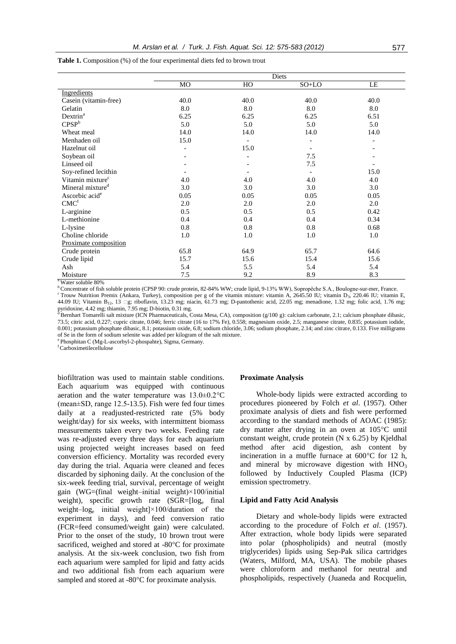**Table 1.** Composition (%) of the four experimental diets fed to brown trout

|                              | Diets |      |         |      |
|------------------------------|-------|------|---------|------|
|                              | MO    | HO   | $SO+LO$ | LE   |
| Ingredients                  |       |      |         |      |
| Casein (vitamin-free)        | 40.0  | 40.0 | 40.0    | 40.0 |
| Gelatin                      | 8.0   | 8.0  | 8.0     | 8.0  |
| Dextrin <sup>a</sup>         | 6.25  | 6.25 | 6.25    | 6.51 |
| CPSP <sup>b</sup>            | 5.0   | 5.0  | 5.0     | 5.0  |
| Wheat meal                   | 14.0  | 14.0 | 14.0    | 14.0 |
| Menhaden oil                 | 15.0  |      |         |      |
| Hazelnut oil                 |       | 15.0 |         |      |
| Soybean oil                  |       |      | 7.5     |      |
| Linseed oil                  |       |      | 7.5     |      |
| Soy-refined lecithin         |       |      |         | 15.0 |
| Vitamin mixture <sup>c</sup> | 4.0   | 4.0  | 4.0     | 4.0  |
| Mineral mixture <sup>d</sup> | 3.0   | 3.0  | 3.0     | 3.0  |
| Ascorbic acid <sup>e</sup>   | 0.05  | 0.05 | 0.05    | 0.05 |
| CMC <sup>f</sup>             | 2.0   | 2.0  | 2.0     | 2.0  |
| L-arginine                   | 0.5   | 0.5  | 0.5     | 0.42 |
| L-methionine                 | 0.4   | 0.4  | 0.4     | 0.34 |
| L-lysine                     | 0.8   | 0.8  | 0.8     | 0.68 |
| Choline chloride             | 1.0   | 1.0  | 1.0     | 1.0  |
| Proximate composition        |       |      |         |      |
| Crude protein                | 65.8  | 64.9 | 65.7    | 64.6 |
| Crude lipid                  | 15.7  | 15.6 | 15.4    | 15.6 |
| Ash                          | 5.4   | 5.5  | 5.4     | 5.4  |
| Moisture                     | 7.5   | 9.2  | 8.9     | 8.3  |

<sup>a</sup> Water soluble 80%

<sup>b</sup> Concentrate of fish soluble protein (CPSP 90: crude protein, 82-84% WW; crude lipid, 9-13% WW), Sopropêche S.A., Boulogne-sur-mer, France. <sup>c</sup> Trouw Nutrition Premix (Ankara, Turkey), composition per g of the vitamin mixture: vitamin A, 2645.50 IU; vitamin D<sub>3</sub>, 220.46 IU; vitamin E, 44.09 IU; Vitamin B<sub>12</sub>, 13  $\Box$ g; riboflavin, 13.23 mg; niacin, 61.73 mg; D-pantothenic acid, 22.05 mg; menadione, 1.32 mg; folic acid, 1.76 mg; pyridoxine, 4.42 mg; thiamin, 7.95 mg; D-biotin, 0.31 mg.<br><sup>d</sup> Bernhart Tomarelli salt mixture (ICN Pharmaceuticals, Costa Mesa, CA), composition (g/100 g): calcium carbonate, 2.1; calcium phosphate dibasic,

73.5; citric acid, 0.227; cupric citrate, 0.046; ferric citrate (16 to 17% Fe), 0.558; magnesium oxide, 2.5; manganese citrate, 0.835; potassium iodide, 0.001; potassium phosphate dibasic, 8.1; potassium oxide, 6.8; sodium chloride, 3.06; sodium phosphate, 2.14; and zinc citrate, 0.133. Five milligrams of Se in the form of sodium selenite was added per kilogram of the salt mixture.

e Phosphitan C (Mg-L-ascorbyl-2-phospahte), Sigma, Germany.

<sup>f</sup>Carboximetilecellulose

biofiltration was used to maintain stable conditions. Each aquarium was equipped with continuous aeration and the water temperature was 13.0±0.2°C (mean±SD, range 12.5-13.5). Fish were fed four times daily at a readjusted-restricted rate (5% body weight/day) for six weeks, with intermittent biomass measurements taken every two weeks. Feeding rate was re-adjusted every three days for each aquarium using projected weight increases based on feed conversion efficiency. Mortality was recorded every day during the trial. Aquaria were cleaned and feces discarded by siphoning daily. At the conclusion of the six-week feeding trial, survival, percentage of weight gain (WG=(final weight–initial weight) $\times$ 100/initial weight), specific growth rate  $(SGR=[log_e fina])$ weight–log<sup>e</sup> initial weight]×100/duration of the experiment in days), and feed conversion ratio (FCR=feed consumed/weight gain) were calculated. Prior to the onset of the study, 10 brown trout were sacrificed, weighed and stored at -80°C for proximate analysis. At the six-week conclusion, two fish from each aquarium were sampled for lipid and fatty acids and two additional fish from each aquarium were sampled and stored at -80°C for proximate analysis.

# **Proximate Analysis**

Whole-body lipids were extracted according to procedures pioneered by Folch *et al*. (1957). Other proximate analysis of diets and fish were performed according to the standard methods of AOAC (1985): dry matter after drying in an oven at 105°C until constant weight, crude protein (N x 6.25) by Kjeldhal method after acid digestion, ash content by incineration in a muffle furnace at 600°C for 12 h, and mineral by microwave digestion with  $HNO<sub>3</sub>$ followed by Inductively Coupled Plasma (ICP) emission spectrometry.

#### **Lipid and Fatty Acid Analysis**

Dietary and whole-body lipids were extracted according to the procedure of Folch *et al*. (1957). After extraction, whole body lipids were separated into polar (phospholipids) and neutral (mostly triglycerides) lipids using Sep-Pak silica cartridges (Waters, Milford, MA, USA). The mobile phases were chloroform and methanol for neutral and phospholipids, respectively (Juaneda and Rocquelin,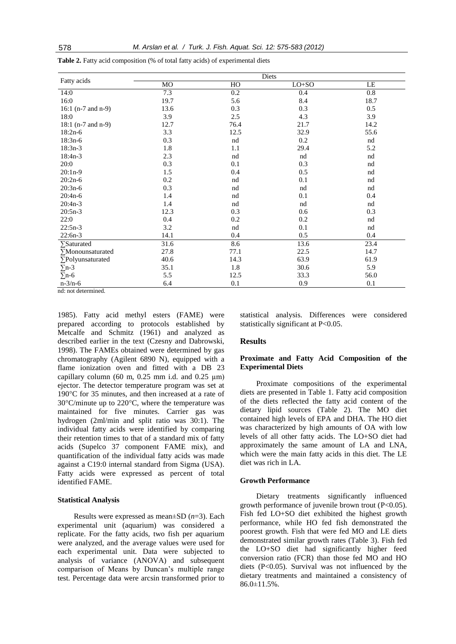| Fatty acids                      |      |      | Diets   |          |
|----------------------------------|------|------|---------|----------|
|                                  | MO   | HO   | $LO+SO$ | $\rm LE$ |
| 14:0                             | 7.3  | 0.2  | 0.4     | $0.8\,$  |
| 16:0                             | 19.7 | 5.6  | 8.4     | 18.7     |
| 16:1 $(n-7 \text{ and } n-9)$    | 13.6 | 0.3  | 0.3     | 0.5      |
| 18:0                             | 3.9  | 2.5  | 4.3     | 3.9      |
| $18:1$ (n-7 and n-9)             | 12.7 | 76.4 | 21.7    | 14.2     |
| $18:2n-6$                        | 3.3  | 12.5 | 32.9    | 55.6     |
| $18:3n-6$                        | 0.3  | nd   | 0.2     | nd       |
| $18:3n-3$                        | 1.8  | 1.1  | 29.4    | 5.2      |
| $18:4n-3$                        | 2.3  | nd   | nd      | nd       |
| 20:0                             | 0.3  | 0.1  | 0.3     | nd       |
| $20:1n-9$                        | 1.5  | 0.4  | 0.5     | nd       |
| $20:2n-6$                        | 0.2  | nd   | 0.1     | nd       |
| $20:3n-6$                        | 0.3  | nd   | nd      | nd       |
| $20:4n-6$                        | 1.4  | nd   | 0.1     | 0.4      |
| $20:4n-3$                        | 1.4  | nd   | nd      | nd       |
| $20:5n-3$                        | 12.3 | 0.3  | 0.6     | 0.3      |
| 22:0                             | 0.4  | 0.2  | 0.2     | nd       |
| $22:5n-3$                        | 3.2  | nd   | 0.1     | nd       |
| $22:6n-3$                        | 14.1 | 0.4  | 0.5     | $0.4\,$  |
| $\sum$ Saturated                 | 31.6 | 8.6  | 13.6    | 23.4     |
| <b>Monounsaturated</b>           | 27.8 | 77.1 | 22.5    | 14.7     |
| $\Sigma$ Polyunsaturated         | 40.6 | 14.3 | 63.9    | 61.9     |
| $\Sigma$ n-3                     | 35.1 | 1.8  | 30.6    | 5.9      |
| $\Sigma$ n-6                     | 5.5  | 12.5 | 33.3    | 56.0     |
| $n - 3/n - 6$                    | 6.4  | 0.1  | 0.9     | 0.1      |
| الأراد والمستحقق المتابين والأرب |      |      |         |          |

**Table 2.** Fatty acid composition (% of total fatty acids) of experimental diets

1985). Fatty acid methyl esters (FAME) were prepared according to protocols established by Metcalfe and Schmitz (1961) and analyzed as described earlier in the text (Czesny and Dabrowski, 1998). The FAMEs obtained were determined by gas chromatography (Agilent 6890 N), equipped with a flame ionization oven and fitted with a DB 23 capillary column (60 m,  $0.25$  mm i.d. and  $0.25 \mu m$ ) ejector. The detector temperature program was set at 190°C for 35 minutes, and then increased at a rate of 30°C/minute up to 220°C, where the temperature was maintained for five minutes. Carrier gas was hydrogen (2ml/min and split ratio was 30:1). The individual fatty acids were identified by comparing their retention times to that of a standard mix of fatty acids (Supelco 37 component FAME mix), and quantification of the individual fatty acids was made against a C19:0 internal standard from Sigma (USA). Fatty acids were expressed as percent of total identified FAME.

### **Statistical Analysis**

Results were expressed as mean±SD (*n*=3). Each experimental unit (aquarium) was considered a replicate. For the fatty acids, two fish per aquarium were analyzed, and the average values were used for each experimental unit. Data were subjected to analysis of variance (ANOVA) and subsequent comparison of Means by Duncan's multiple range test. Percentage data were arcsin transformed prior to

statistical analysis. Differences were considered statistically significant at P<0.05.

### **Results**

# **Proximate and Fatty Acid Composition of the Experimental Diets**

Proximate compositions of the experimental diets are presented in Table 1. Fatty acid composition of the diets reflected the fatty acid content of the dietary lipid sources (Table 2). The MO diet contained high levels of EPA and DHA. The HO diet was characterized by high amounts of OA with low levels of all other fatty acids. The LO+SO diet had approximately the same amount of LA and LNA, which were the main fatty acids in this diet. The LE diet was rich in LA.

#### **Growth Performance**

Dietary treatments significantly influenced growth performance of juvenile brown trout (P<0.05). Fish fed LO+SO diet exhibited the highest growth performance, while HO fed fish demonstrated the poorest growth. Fish that were fed MO and LE diets demonstrated similar growth rates (Table 3). Fish fed the LO+SO diet had significantly higher feed conversion ratio (FCR) than those fed MO and HO diets (P<0.05). Survival was not influenced by the dietary treatments and maintained a consistency of  $86.0 \pm 11.5\%$ .

nd: not determined.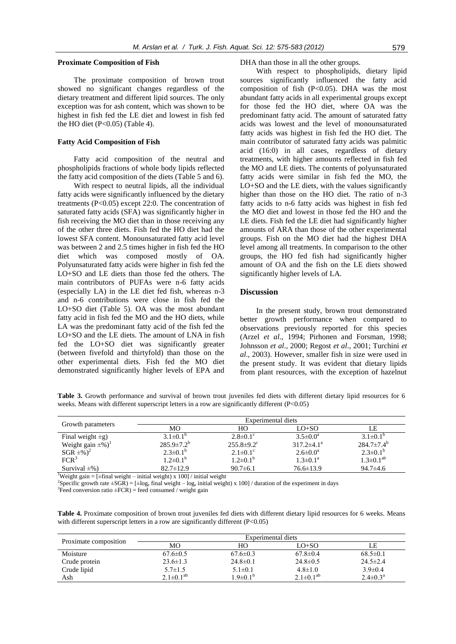#### **Proximate Composition of Fish**

The proximate composition of brown trout showed no significant changes regardless of the dietary treatment and different lipid sources. The only exception was for ash content, which was shown to be highest in fish fed the LE diet and lowest in fish fed the HO diet  $(P<0.05)$  (Table 4).

#### **Fatty Acid Composition of Fish**

Fatty acid composition of the neutral and phospholipids fractions of whole body lipids reflected the fatty acid composition of the diets (Table 5 and 6).

With respect to neutral lipids, all the individual fatty acids were significantly influenced by the dietary treatments (P<0.05) except 22:0. The concentration of saturated fatty acids (SFA) was significantly higher in fish receiving the MO diet than in those receiving any of the other three diets. Fish fed the HO diet had the lowest SFA content. Monounsaturated fatty acid level was between 2 and 2.5 times higher in fish fed the HO diet which was composed mostly of OA. Polyunsaturated fatty acids were higher in fish fed the LO+SO and LE diets than those fed the others. The main contributors of PUFAs were n-6 fatty acids (especially LA) in the LE diet fed fish, whereas n-3 and n-6 contributions were close in fish fed the LO+SO diet (Table 5). OA was the most abundant fatty acid in fish fed the MO and the HO diets, while LA was the predominant fatty acid of the fish fed the LO+SO and the LE diets. The amount of LNA in fish fed the LO+SO diet was significantly greater (between fivefold and thirtyfold) than those on the other experimental diets. Fish fed the MO diet demonstrated significantly higher levels of EPA and DHA than those in all the other groups.

With respect to phospholipids, dietary lipid sources significantly influenced the fatty acid composition of fish  $(P<0.05)$ . DHA was the most abundant fatty acids in all experimental groups except for those fed the HO diet, where OA was the predominant fatty acid. The amount of saturated fatty acids was lowest and the level of monounsaturated fatty acids was highest in fish fed the HO diet. The main contributor of saturated fatty acids was palmitic acid (16:0) in all cases, regardless of dietary treatments, with higher amounts reflected in fish fed the MO and LE diets. The contents of polyunsaturated fatty acids were similar in fish fed the MO, the LO+SO and the LE diets, with the values significantly higher than those on the HO diet. The ratio of n-3 fatty acids to n-6 fatty acids was highest in fish fed the MO diet and lowest in those fed the HO and the LE diets. Fish fed the LE diet had significantly higher amounts of ARA than those of the other experimental groups. Fish on the MO diet had the highest DHA level among all treatments. In comparison to the other groups, the HO fed fish had significantly higher amount of OA and the fish on the LE diets showed significantly higher levels of LA.

# **Discussion**

In the present study, brown trout demonstrated better growth performance when compared to observations previously reported for this species (Arzel *et al*., 1994; Pirhonen and Forsman, 1998; Johnsson *et al*., 2000; Regost *et al*., 2001; Turchini *et al*., 2003). However, smaller fish in size were used in the present study. It was evident that dietary lipids from plant resources, with the exception of hazelnut

**Table 3.** Growth performance and survival of brown trout juveniles fed diets with different dietary lipid resources for 6 weeks. Means with different superscript letters in a row are significantly different (P<0.05)

|                                    | Experimental diets |                              |                          |                    |
|------------------------------------|--------------------|------------------------------|--------------------------|--------------------|
| Growth parameters                  | <b>MO</b>          | HO                           | $LO+SO$                  | LE                 |
| Final weight $\pm$ g)              | $3.1\pm0.1^{b}$    | $2.8 \pm 0.1$ °              | $3.5 \pm 0.0^a$          | $3.1\pm0.1^{b}$    |
| Weight gain $\pm\%$ <sup>1</sup>   | $285.9 \pm 7.2^b$  | $255.8 \pm 9.2$ <sup>c</sup> | $317.2\pm4.1^{\text{a}}$ | $284.7\pm7.4^b$    |
| $SGR \pm \frac{1}{2}$ <sup>2</sup> | $2.3\pm0.1^{b}$    | $2.1 \pm 0.1$ °              | $2.6 \pm 0.0^a$          | $2.3 \pm 0.1^b$    |
| FCR <sup>3</sup>                   | $1.2\pm0.1^{b}$    | $1.2\pm0.1^{b}$              | $1.3 \pm 0.1^a$          | $1.3 \pm 0.1^{ab}$ |
| Survival $\pm\%$ )                 | $82.7 \pm 12.9$    | $90.7\pm 6.1$                | $76.6 \pm 13.9$          | $94.7 \pm 4.6$     |

<sup>1</sup>Weight gain = [ $\pm$ final weight – initial weight) x 100] / initial weight

with different superscript letters in a row are significantly different (P<0.05)

Specific growth rate  $\pm SGR$ ) = [ $\pm \log_e$  final weight – log<sub>e</sub> initial weight) x 100] / duration of the experiment in days <sup>3</sup>Feed conversion ratio  $\pm$  FCR) = feed consumed / weight gain

**Table 4.** Proximate composition of brown trout juveniles fed diets with different dietary lipid resources for 6 weeks. Means

|                       |                    | Experimental diets    |                    |                          |
|-----------------------|--------------------|-----------------------|--------------------|--------------------------|
| Proximate composition | MО                 | HО                    | $LO+SO$            | LE                       |
| Moisture              | $67.6 \pm 0.5$     | $67.6 \pm 0.3$        | $67.8 \pm 0.4$     | $68.5 \pm 0.1$           |
| Crude protein         | $23.6 \pm 1.3$     | $24.8 \pm 0.1$        | $24.8 \pm 0.5$     | $24.5 \pm 2.4$           |
| Crude lipid           | $5.7 \pm 1.5$      | $5.1 \pm 0.1$         | $4.8 \pm 1.0$      | $3.9 \pm 0.4$            |
| Ash                   | $2.1 \pm 0.1^{ab}$ | $1.9 \pm 0.1^{\rm b}$ | $2.1 \pm 0.1^{ab}$ | $2.4 \pm 0.3^{\text{a}}$ |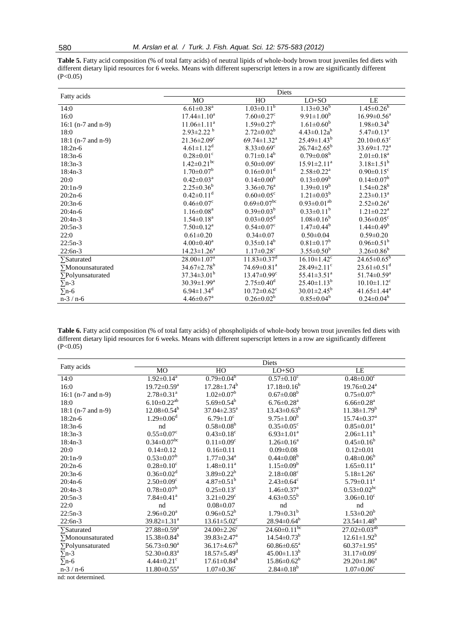**Table 5.** Fatty acid composition (% of total fatty acids) of neutral lipids of whole-body brown trout juveniles fed diets with different dietary lipid resources for 6 weeks. Means with different superscript letters in a row are significantly different  $(P<0.05)$ 

|                          | Diets                         |                               |                               |                               |  |
|--------------------------|-------------------------------|-------------------------------|-------------------------------|-------------------------------|--|
| Fatty acids              | MO                            | HO                            | $LO+SO$                       | LE                            |  |
| 14:0                     | $6.61 \pm 0.38$ <sup>a</sup>  | $1.03 \pm 0.11^b$             | $1.13 \pm 0.36$ <sup>b</sup>  | $1.45 \pm 0.26^b$             |  |
| 16:0                     | $17.44 \pm 1.10^a$            | $7.60 \pm 0.27$ <sup>c</sup>  | $9.91 \pm 1.00^b$             | $16.99 \pm 0.56^{\text{a}}$   |  |
| 16:1 (n-7 and n-9)       | $11.06 \pm 1.11^a$            | $1.59 \pm 0.27$ <sup>b</sup>  | $1.61 \pm 0.60^b$             | $1.98 \pm 0.34^b$             |  |
| 18:0                     | $2.93 \pm 2.22$ <sup>b</sup>  | $2.72 \pm 0.02^b$             | $4.43 \pm 0.12a^b$            | $5.47 \pm 0.13^a$             |  |
| 18:1 (n-7 and n-9)       | $21.36 \pm 2.09$ <sup>c</sup> | $69.74 \pm 1.32$ <sup>a</sup> | $25.49 \pm 1.43^b$            | $20.10\pm0.63^c$              |  |
| $18:2n-6$                | $4.61 \pm 1.12$ <sup>d</sup>  | $8.33 \pm 0.69$ <sup>c</sup>  | $26.74 \pm 2.65^b$            | $33.69 \pm 1.72^{\text{a}}$   |  |
| $18:3n-6$                | $0.28 \pm 0.01$ <sup>c</sup>  | $0.71 \pm 0.14^b$             | $0.79 \pm 0.08^b$             | $2.01 \pm 0.18$ <sup>a</sup>  |  |
| $18:3n-3$                | $1.42 \pm 0.21$ <sup>bc</sup> | $0.50 \pm 0.09$ <sup>c</sup>  | $15.91 \pm 2.11^a$            | $3.18 \pm 1.51^b$             |  |
| $18:4n-3$                | $1.70 \pm 0.07^b$             | $0.16 \pm 0.01$ <sup>d</sup>  | $2.58 \pm 0.22$ <sup>a</sup>  | $0.90 \pm 0.15$ <sup>c</sup>  |  |
| 20:0                     | $0.42 \pm 0.03^{\text{a}}$    | $0.14 \pm 0.00^b$             | $0.13 \pm 0.09^b$             | $0.14 \pm 0.07^b$             |  |
| $20:1n-9$                | $2.25 \pm 0.36^b$             | $3.36 \pm 0.76$ <sup>a</sup>  | $1.39 \pm 0.19^b$             | $1.54 \pm 0.28$ <sup>b</sup>  |  |
| $20:2n-6$                | $0.42 \pm 0.11$ <sup>d</sup>  | $0.60 \pm 0.05$ <sup>c</sup>  | $1.21 \pm 0.03^b$             | $2.23 \pm 0.13^a$             |  |
| $20:3n-6$                | $0.46 \pm 0.07$ <sup>c</sup>  | $0.69 \pm 0.07$ <sup>bc</sup> | $0.93 \pm 0.01^{ab}$          | $2.52 \pm 0.26^a$             |  |
| $20:4n-6$                | $1.16 \pm 0.08^{\text{a}}$    | $0.39 \pm 0.03^b$             | $0.33 \pm 0.11^b$             | $1.21 \pm 0.22^a$             |  |
| $20:4n-3$                | $1.54 \pm 0.18$ <sup>a</sup>  | $0.03 \pm 0.05$ <sup>d</sup>  | $1.08 \pm 0.16^b$             | $0.36 \pm 0.05$ <sup>c</sup>  |  |
| $20:5n-3$                | $7.50 \pm 0.12^a$             | $0.54 \pm 0.07$ <sup>c</sup>  | $1.47 \pm 0.44^b$             | $1.44 \pm 0.49^b$             |  |
| 22:0                     | $0.61 \pm 0.20$               | $0.34 \pm 0.07$               | $0.50 \pm 0.04$               | $0.59 \pm 0.20$               |  |
| $22:5n-3$                | $4.00 \pm 0.40^a$             | $0.35 \pm 0.14^b$             | $0.81 \pm 0.17^b$             | $0.96 \pm 0.51^b$             |  |
| $22:6n-3$                | $14.23 \pm 1.26^a$            | $1.17 \pm 0.28$ <sup>c</sup>  | $3.55 \pm 0.50^b$             | $3.26 \pm 0.86^b$             |  |
| $\sum$ Saturated         | $28.00 \pm 1.07$ <sup>a</sup> | $11.83 \pm 0.37$ <sup>d</sup> | $16.10 \pm 1.42$ <sup>c</sup> | $24.65 \pm 0.65^b$            |  |
| $\sum$ Monounsaturated   | $34.67 \pm 2.78$ <sup>b</sup> | $74.69 \pm 0.81$ <sup>a</sup> | $28.49 \pm 2.11$ <sup>c</sup> | $23.61 \pm 0.51$ <sup>d</sup> |  |
| $\Sigma$ Polyunsaturated | $37.34 \pm 3.01^b$            | $13.47 \pm 0.99$ <sup>c</sup> | $55.41 \pm 3.51$ <sup>a</sup> | $51.74 \pm 0.59$ <sup>a</sup> |  |
| $\Sigma$ n-3             | $30.39 \pm 1.99^{\mathrm{a}}$ | $2.75 \pm 0.40$ <sup>d</sup>  | $25.40 \pm 1.13^b$            | $10.10 \pm 1.12$ <sup>c</sup> |  |
| $\Sigma$ n-6             | $6.94 \pm 1.34$ <sup>d</sup>  | $10.72 \pm 0.62$ <sup>c</sup> | $30.01 \pm 2.45^{\rm b}$      | $41.65 \pm 1.44$ <sup>a</sup> |  |
| $n-3/n-6$                | $4.46 \pm 0.67$ <sup>a</sup>  | $0.26 \pm 0.02^b$             | $0.85 \pm 0.04^b$             | $0.24 \pm 0.04^b$             |  |

**Table 6.** Fatty acid composition (% of total fatty acids) of phospholipids of whole-body brown trout juveniles fed diets with different dietary lipid resources for 6 weeks. Means with different superscript letters in a row are significantly different  $(P<0.05)$ 

|                               |                               |                               | Diets                          |                               |
|-------------------------------|-------------------------------|-------------------------------|--------------------------------|-------------------------------|
| Fatty acids                   | MO                            | HO                            | $LO+SO$                        | LE                            |
| 14:0                          | $1.92 \pm 0.14$ <sup>a</sup>  | $0.79 \pm 0.04^b$             | $0.57 \pm 0.10^c$              | $0.48 \pm 0.00$ <sup>c</sup>  |
| 16:0                          | $19.72 \pm 0.59$ <sup>a</sup> | $17.28 \pm 1.74^b$            | $17.18 \pm 0.16^b$             | $19.76 \pm 0.24$ <sup>a</sup> |
| 16:1 $(n-7 \text{ and } n-9)$ | $2.78 \pm 0.31$ <sup>a</sup>  | $1.02 \pm 0.07^b$             | $0.67 \pm 0.08^b$              | $0.75 \pm 0.07^b$             |
| 18:0                          | $6.10 \pm 0.22$ <sup>ab</sup> | $5.69 \pm 0.54^b$             | $6.76 \pm 0.28$ <sup>a</sup>   | $6.66 \pm 0.28$ <sup>a</sup>  |
| $18:1$ (n-7 and n-9)          | $12.08 \pm 0.54^b$            | $37.04 \pm 2.35^{\text{a}}$   | $13.43 \pm 0.63^b$             | $11.38 \pm 1.79^b$            |
| $18:2n-6$                     | $1.29 \pm 0.06^{\mathrm{d}}$  | $6.79 \pm 1.0^c$              | $9.75 \pm 1.00^b$              | $15.74 \pm 0.37$ <sup>a</sup> |
| $18:3n-6$                     | nd                            | $0.58 \pm 0.08^b$             | $0.35 \pm 0.05$ <sup>c</sup>   | $0.85 \pm 0.01^a$             |
| $18:3n-3$                     | $0.55 \pm 0.07$ <sup>c</sup>  | $0.43 \pm 0.18$ <sup>c</sup>  | $6.93 \pm 1.01^a$              | $2.06 \pm 1.11^b$             |
| $18:4n-3$                     | $0.34 \pm 0.07$ <sup>bc</sup> | $0.11 \pm 0.09$ <sup>c</sup>  | $1.26 \pm 0.16^a$              | $0.45 \pm 0.16^b$             |
| 20:0                          | $0.14 \pm 0.12$               | $0.16 \pm 0.11$               | $0.09 \pm 0.08$                | $0.12 \pm 0.01$               |
| $20:1n-9$                     | $0.53 \pm 0.07^b$             | $1.77 \pm 0.34$ <sup>a</sup>  | $0.44 \pm 0.08^b$              | $0.48 \pm 0.06^b$             |
| $20:2n-6$                     | $0.28 \pm 0.10^c$             | $1.48 \pm 0.11^a$             | $1.15 \pm 0.09^b$              | $1.65 \pm 0.11^a$             |
| $20:3n-6$                     | $0.36 \pm 0.02$ <sup>d</sup>  | $3.89 \pm 0.22^b$             | $2.18 \pm 0.08$ <sup>c</sup>   | $5.18 \pm 1.26^a$             |
| $20:4n-6$                     | $2.50 \pm 0.09$ <sup>c</sup>  | $4.87 \pm 0.51^{\rm b}$       | $2.43 \pm 0.64$ <sup>c</sup>   | $5.79 \pm 0.11^a$             |
| $20:4n-3$                     | $0.78 \pm 0.07^b$             | $0.25 \pm 0.13$ <sup>c</sup>  | $1.46 \pm 0.37$ <sup>a</sup>   | $0.53 \pm 0.02$ <sup>bc</sup> |
| $20:5n-3$                     | $7.84 \pm 0.41$ <sup>a</sup>  | $3.21 \pm 0.29$ <sup>c</sup>  | $4.63 \pm 0.55^{\rm b}$        | $3.06 \pm 0.10^{\circ}$       |
| 22:0                          | nd                            | $0.08 \pm 0.07$               | nd                             | nd                            |
| $22:5n-3$                     | $2.96 \pm 0.20^a$             | $0.96 \pm 0.52^b$             | $1.79 \pm 0.31^b$              | $1.53 \pm 0.20^b$             |
| $22:6n-3$                     | $39.82 \pm 1.31$ <sup>a</sup> | $13.61 \pm 5.02$ <sup>c</sup> | $28.94 \pm 0.64^b$             | $23.54 \pm 1.48$ <sup>b</sup> |
| $\sum$ Saturated              | $27.88 \pm 0.59^{\text{a}}$   | $24.00 \pm 2.26$ °            | $24.60 \pm 0.11$ <sup>bc</sup> | $27.02 \pm 0.03^{ab}$         |
| $\sum$ Monounsaturated        | $15.38 \pm 0.84^b$            | $39.83 \pm 2.47$ <sup>a</sup> | $14.54 \pm 0.73^b$             | $12.61 \pm 1.92^b$            |
| $\sum$ Polyunsaturated        | $56.73 \pm 0.90^a$            | $36.17 \pm 4.67^b$            | $60.86 \pm 0.65^{\text{a}}$    | $60.37 \pm 1.95^{\text{a}}$   |
| $\Sigma$ n-3                  | $52.30 \pm 0.83$ <sup>a</sup> | $18.57 \pm 5.49$ <sup>d</sup> | $45.00 \pm 1.13^b$             | $31.17 \pm 0.09$ <sup>c</sup> |
| $\sum n-6$                    | $4.44 \pm 0.21$ <sup>c</sup>  | $17.61 \pm 0.84^b$            | $15.86 \pm 0.62^b$             | $29.20 \pm 1.86^a$            |
| $n-3/n-6$                     | $11.80 \pm 0.55^{\text{a}}$   | $1.07 \pm 0.36$ <sup>c</sup>  | $2.84 \pm 0.18^b$              | $1.07 \pm 0.06$ <sup>c</sup>  |

nd: not determined.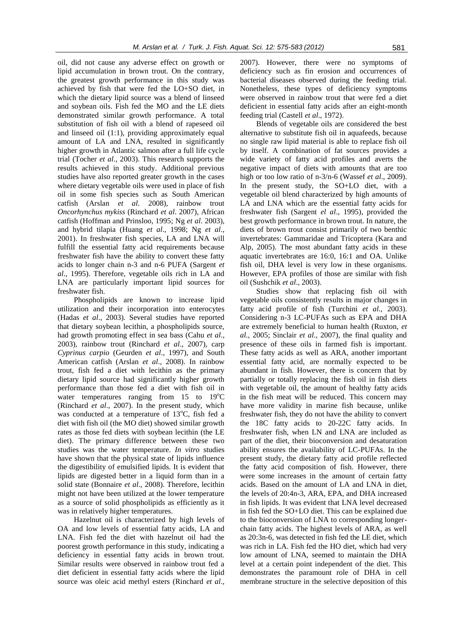oil, did not cause any adverse effect on growth or lipid accumulation in brown trout. On the contrary, the greatest growth performance in this study was achieved by fish that were fed the LO+SO diet, in which the dietary lipid source was a blend of linseed and soybean oils. Fish fed the MO and the LE diets demonstrated similar growth performance. A total substitution of fish oil with a blend of rapeseed oil and linseed oil (1:1), providing approximately equal amount of LA and LNA, resulted in significantly higher growth in Atlantic salmon after a full life cycle trial (Tocher *et al*., 2003). This research supports the results achieved in this study. Additional previous studies have also reported greater growth in the cases where dietary vegetable oils were used in place of fish oil in some fish species such as South American catfish (Arslan *et al*. 2008), rainbow trout *Oncorhynchus mykiss* (Rinchard *et al*. 2007), African catfish (Hoffman and Prinsloo, 1995; Ng *et al*. 2003), and hybrid tilapia (Huang *et al*., 1998; Ng *et al*., 2001). In freshwater fish species, LA and LNA will fulfill the essential fatty acid requirements because freshwater fish have the ability to convert these fatty acids to longer chain n-3 and n-6 PUFA (Sargent *et al*., 1995). Therefore, vegetable oils rich in LA and LNA are particularly important lipid sources for freshwater fish.

Phospholipids are known to increase lipid utilization and their incorporation into enterocytes (Hadas *et al*., 2003). Several studies have reported that dietary soybean lecithin, a phospholipids source, had growth promoting effect in sea bass (Cahu *et al*., 2003), rainbow trout (Rinchard *et al*., 2007), carp *Cyprinus carpio* (Geurden *et al*., 1997), and South American catfish (Arslan *et al*., 2008). In rainbow trout, fish fed a diet with lecithin as the primary dietary lipid source had significantly higher growth performance than those fed a diet with fish oil in water temperatures ranging from  $15$  to  $19^{\circ}$ C (Rinchard *et al*., 2007). In the present study, which was conducted at a temperature of  $13^{\circ}$ C, fish fed a diet with fish oil (the MO diet) showed similar growth rates as those fed diets with soybean lecithin (the LE diet). The primary difference between these two studies was the water temperature. *In vitro* studies have shown that the physical state of lipids influence the digestibility of emulsified lipids. It is evident that lipids are digested better in a liquid form than in a solid state (Bonnaire *et al*., 2008). Therefore, lecithin might not have been utilized at the lower temperature as a source of solid phospholipids as efficiently as it was in relatively higher temperatures.

Hazelnut oil is characterized by high levels of OA and low levels of essential fatty acids, LA and LNA. Fish fed the diet with hazelnut oil had the poorest growth performance in this study, indicating a deficiency in essential fatty acids in brown trout. Similar results were observed in rainbow trout fed a diet deficient in essential fatty acids where the lipid source was oleic acid methyl esters (Rinchard *et al*., 2007). However, there were no symptoms of deficiency such as fin erosion and occurrences of bacterial diseases observed during the feeding trial. Nonetheless, these types of deficiency symptoms were observed in rainbow trout that were fed a diet deficient in essential fatty acids after an eight-month feeding trial (Castell *et al*., 1972).

Blends of vegetable oils are considered the best alternative to substitute fish oil in aquafeeds, because no single raw lipid material is able to replace fish oil by itself. A combination of fat sources provides a wide variety of fatty acid profiles and averts the negative impact of diets with amounts that are too high or too low ratio of n-3/n-6 (Wassef *et al*., 2009). In the present study, the SO+LO diet, with a vegetable oil blend characterized by high amounts of LA and LNA which are the essential fatty acids for freshwater fish (Sargent *el al*., 1995), provided the best growth performance in brown trout. In nature, the diets of brown trout consist primarily of two benthic invertebrates: Gammaridae and Tricoptera (Kara and Alp, 2005). The most abundant fatty acids in these aquatic invertebrates are 16:0, 16:1 and OA. Unlike fish oil, DHA level is very low in these organisms. However, EPA profiles of those are similar with fish oil (Sushchik *et al*., 2003).

Studies show that replacing fish oil with vegetable oils consistently results in major changes in fatty acid profile of fish (Turchini *et al*., 2003). Considering n-3 LC-PUFAs such as EPA and DHA are extremely beneficial to human health (Ruxton, *et al*., 2005; Sinclair *et al*., 2007), the final quality and presence of these oils in farmed fish is important. These fatty acids as well as ARA, another important essential fatty acid, are normally expected to be abundant in fish. However, there is concern that by partially or totally replacing the fish oil in fish diets with vegetable oil, the amount of healthy fatty acids in the fish meat will be reduced. This concern may have more validity in marine fish because, unlike freshwater fish, they do not have the ability to convert the 18C fatty acids to 20-22C fatty acids. In freshwater fish, when LN and LNA are included as part of the diet, their bioconversion and desaturation ability ensures the availability of LC-PUFAs. In the present study, the dietary fatty acid profile reflected the fatty acid composition of fish. However, there were some increases in the amount of certain fatty acids. Based on the amount of LA and LNA in diet, the levels of 20:4n-3, ARA, EPA, and DHA increased in fish lipids. It was evident that LNA level decreased in fish fed the SO+LO diet. This can be explained due to the bioconversion of LNA to corresponding longerchain fatty acids. The highest levels of ARA, as well as 20:3n-6, was detected in fish fed the LE diet, which was rich in LA. Fish fed the HO diet, which had very low amount of LNA, seemed to maintain the DHA level at a certain point independent of the diet. This demonstrates the paramount role of DHA in cell membrane structure in the selective deposition of this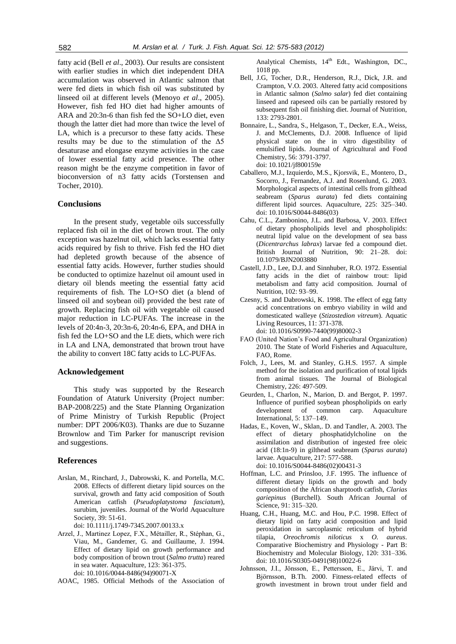fatty acid (Bell *et al*., 2003). Our results are consistent with earlier studies in which diet independent DHA accumulation was observed in Atlantic salmon that were fed diets in which fish oil was substituted by linseed oil at different levels (Menoyo *et al*., 2005). However, fish fed HO diet had higher amounts of ARA and 20:3n-6 than fish fed the SO+LO diet, even though the latter diet had more than twice the level of LA, which is a precursor to these fatty acids. These results may be due to the stimulation of the Δ5 desaturase and elongase enzyme activities in the case of lower essential fatty acid presence. The other reason might be the enzyme competition in favor of bioconversion of n3 fatty acids (Torstensen and Tocher, 2010).

#### **Conclusions**

In the present study, vegetable oils successfully replaced fish oil in the diet of brown trout. The only exception was hazelnut oil, which lacks essential fatty acids required by fish to thrive. Fish fed the HO diet had depleted growth because of the absence of essential fatty acids. However, further studies should be conducted to optimize hazelnut oil amount used in dietary oil blends meeting the essential fatty acid requirements of fish. The LO+SO diet (a blend of linseed oil and soybean oil) provided the best rate of growth. Replacing fish oil with vegetable oil caused major reduction in LC-PUFAs. The increase in the levels of 20:4n-3, 20:3n-6, 20:4n-6, EPA, and DHA in fish fed the LO+SO and the LE diets, which were rich in LA and LNA, demonstrated that brown trout have the ability to convert 18C fatty acids to LC-PUFAs.

# **Acknowledgement**

This study was supported by the Research Foundation of Ataturk University (Project number: BAP-2008/225) and the State Planning Organization of Prime Ministry of Turkish Republic (Project number: DPT 2006/K03). Thanks are due to Suzanne Brownlow and Tim Parker for manuscript revision and suggestions.

#### **References**

Arslan, M., Rinchard, J., Dabrowski, K. and Portella, M.C. 2008. Effects of different dietary lipid sources on the survival, growth and fatty acid composition of South American catfish (*Pseudoplatystoma fasciatum*), surubim, juveniles. Journal of the World Aquaculture Society, 39: 51-61.

doi: 10.1111/j.1749-7345.2007.00133.x

- Arzel, J., Martinez Lopez, F.X., Métailler, R., Stéphan, G., Viau, M., Gandemer, G. and Guillaume, J. 1994. Effect of dietary lipid on growth performance and body composition of brown trout (*Salmo trutta*) reared in sea water. Aquaculture, 123: 361-375. doi: 10.1016/0044-8486(94)90071-X
- AOAC, 1985. Official Methods of the Association of

Analytical Chemists, 14<sup>th</sup> Edt., Washington, DC., 1018 pp.

- Bell, J.G, Tocher, D.R., Henderson, R.J., Dick, J.R. and Crampton, V.O. 2003. Altered fatty acid compositions in Atlantic salmon (*Salmo salar*) fed diet containing linseed and rapeseed oils can be partially restored by subsequent fish oil finishing diet. Journal of Nutrition, 133: 2793-2801.
- Bonnaire, L., Sandra, S., Helgason, T., Decker, E.A., Weiss, J. and McClements, D.J. 2008. Influence of lipid physical state on the in vitro digestibility of emulsified lipids. Journal of Agricultural and Food Chemistry, 56: 3791-3797. doi: 10.1021/jf800159e
- Caballero, M.J., Izquierdo, M.S., Kjorsvik, E., Montero, D., Socorro, J., Fernandez, A.J. and Rosenlund, G. 2003. Morphological aspects of intestinal cells from gilthead seabream (*Sparus aurata*) fed diets containing different lipid sources. Aquaculture, 225: 325–340. doi: 10.1016/S0044-8486(03)
- Cahu, C.L., Zambonino, J.L. and Barbosa, V. 2003. Effect of dietary phospholipids level and phospholipids: neutral lipid value on the development of sea bass (*Dicentrarchus labrax*) larvae fed a compound diet. British Journal of Nutrition, 90: 21–28. doi: 10.1079/BJN2003880
- Castell, J.D., Lee, D.J. and Sinnhuber, R.O. 1972. Essential fatty acids in the diet of rainbow trout: lipid metabolism and fatty acid composition. Journal of Nutrition, 102: 93–99.
- Czesny, S. and Dabrowski, K. 1998. The effect of egg fatty acid concentrations on embryo viability in wild and domesticated walleye (*Stizostedion vitreum*). Aquatic Living Resources, 11: 371-378. doi: 10.1016/S0990-7440(99)80002-3
- FAO (United Nation's Food and Agricultural Organization) 2010. The State of World Fisheries and Aquaculture, FAO, Rome.
- Folch, J., Lees, M. and Stanley, G.H.S. 1957. A simple method for the isolation and purification of total lipids from animal tissues. The Journal of Biological Chemistry, 226: 497-509.
- Geurden, I., Charlon, N., Marion, D. and Bergot, P. 1997. Influence of purified soybean phospholipids on early development of common carp. Aquaculture International, 5: 137–149.
- Hadas, E., Koven, W., Sklan,. D. and Tandler, A. 2003. The effect of dietary phosphatidylcholine on the assimilation and distribution of ingested free oleic acid (18:1n-9) in gilthead seabream (*Sparus aurata*) larvae. Aquaculture, 217: 577-588. doi: 10.1016/S0044-8486(02)00431-3
- Hoffman, L.C. and Prinsloo, J.F. 1995. The influence of different dietary lipids on the growth and body composition of the African sharptooth catfish, *Clarias gariepinus* (Burchell). South African Journal of Science, 91: 315–320.
- Huang, C.H., Huang, M.C. and Hou, P.C. 1998. Effect of dietary lipid on fatty acid composition and lipid peroxidation in sarcoplasmic reticulum of hybrid tilapia, *Oreochromis niloticus* x *O. aureus*. Comparative Biochemistry and Physiology - Part B: Biochemistry and Molecular Biology, 120: 331–336. doi: 10.1016/S0305-0491(98)10022-6
- Johnsson, J.I., Jönsson, E., Pettersson, E., Järvi, T. and Björnsson, B.Th. 2000. Fitness-related effects of growth investment in brown trout under field and